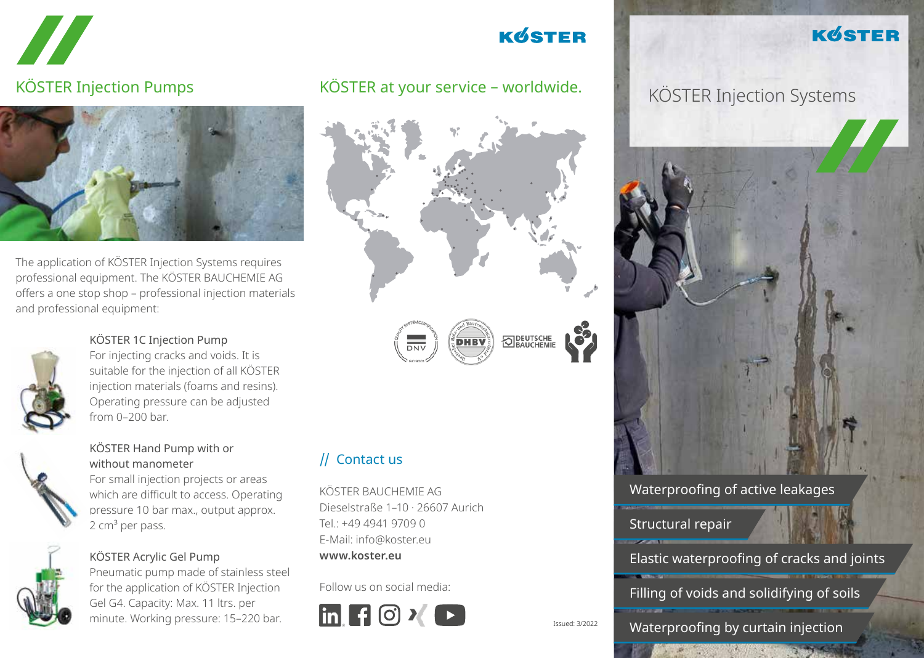



The application of KÖSTER Injection Systems requires professional equipment. The KÖSTER BAUCHEMIE AG offers a one stop shop – professional injection materials and professional equipment:



# KÖSTER 1C Injection Pump

For injecting cracks and voids. It is suitable for the injection of all KÖSTER injection materials (foams and resins). Operating pressure can be adjusted from 0–200 bar.



## KÖSTER Hand Pump with or without manometer

For small injection projects or areas which are difficult to access. Operating pressure 10 bar max., output approx.  $2 \text{ cm}^3$  per pass.



## KÖSTER Acrylic Gel Pump

Pneumatic pump made of stainless steel for the application of KÖSTER Injection Gel G4. Capacity: Max. 11 ltrs. per minute. Working pressure: 15–220 bar.

# **KØSTER**

#### KÖSTER Injection Pumps KÖSTER at your service - worldwide. KÖSTER Injection Systems KÖSTER at your service – worldwide.



# // Contact us

KÖSTER BAUCHEMIE AG Dieselstraße 1–10 · 26607 Aurich Tel.: +49 4941 9709 0 E-Mail: info@koster.eu **www.koster.eu**

Follow us on social media:



**KØSTER** 



## Waterproofing of active leakages

Structural repair

Elastic waterproofing of cracks and joints

Filling of voids and solidifying of soils

Waterproofing by curtain injection